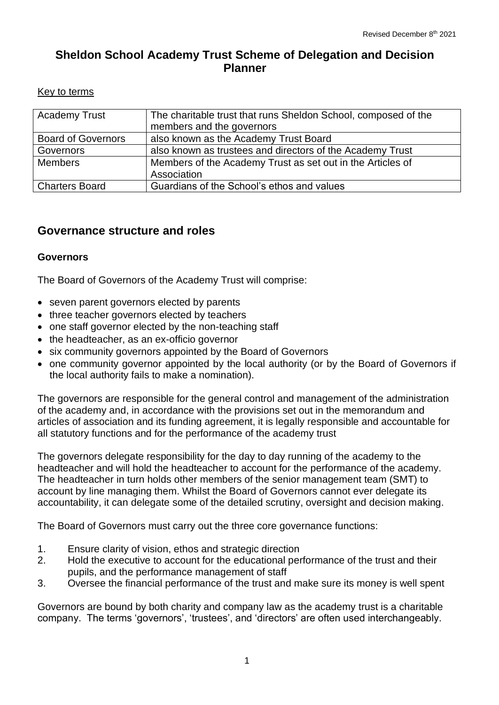# **Sheldon School Academy Trust Scheme of Delegation and Decision Planner**

#### Key to terms

| <b>Academy Trust</b>      | The charitable trust that runs Sheldon School, composed of the<br>members and the governors |
|---------------------------|---------------------------------------------------------------------------------------------|
| <b>Board of Governors</b> | also known as the Academy Trust Board                                                       |
| Governors                 | also known as trustees and directors of the Academy Trust                                   |
| <b>Members</b>            | Members of the Academy Trust as set out in the Articles of                                  |
|                           | Association                                                                                 |
| <b>Charters Board</b>     | Guardians of the School's ethos and values                                                  |

## **Governance structure and roles**

## **Governors**

The Board of Governors of the Academy Trust will comprise:

- seven parent governors elected by parents
- three teacher governors elected by teachers
- one staff governor elected by the non-teaching staff
- the headteacher, as an ex-officio governor
- six community governors appointed by the Board of Governors
- one community governor appointed by the local authority (or by the Board of Governors if the local authority fails to make a nomination).

The governors are responsible for the general control and management of the administration of the academy and, in accordance with the provisions set out in the memorandum and articles of association and its funding agreement, it is legally responsible and accountable for all statutory functions and for the performance of the academy trust

The governors delegate responsibility for the day to day running of the academy to the headteacher and will hold the headteacher to account for the performance of the academy. The headteacher in turn holds other members of the senior management team (SMT) to account by line managing them. Whilst the Board of Governors cannot ever delegate its accountability, it can delegate some of the detailed scrutiny, oversight and decision making.

The Board of Governors must carry out the three core governance functions:

- 1. Ensure clarity of vision, ethos and strategic direction
- 2. Hold the executive to account for the educational performance of the trust and their pupils, and the performance management of staff
- 3. Oversee the financial performance of the trust and make sure its money is well spent

Governors are bound by both charity and company law as the academy trust is a charitable company. The terms 'governors', 'trustees', and 'directors' are often used interchangeably.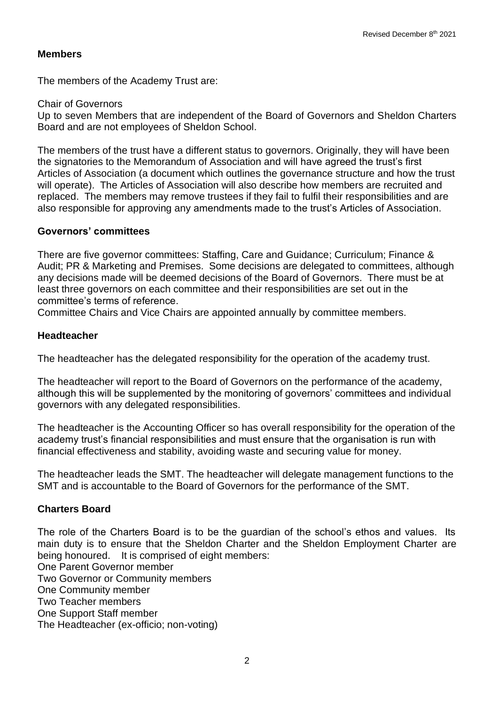#### **Members**

The members of the Academy Trust are:

Chair of Governors

Up to seven Members that are independent of the Board of Governors and Sheldon Charters Board and are not employees of Sheldon School.

The members of the trust have a different status to governors. Originally, they will have been the signatories to the Memorandum of Association and will have agreed the trust's first Articles of Association (a document which outlines the governance structure and how the trust will operate). The Articles of Association will also describe how members are recruited and replaced. The members may remove trustees if they fail to fulfil their responsibilities and are also responsible for approving any amendments made to the trust's Articles of Association.

#### **Governors' committees**

There are five governor committees: Staffing, Care and Guidance; Curriculum; Finance & Audit; PR & Marketing and Premises. Some decisions are delegated to committees, although any decisions made will be deemed decisions of the Board of Governors. There must be at least three governors on each committee and their responsibilities are set out in the committee's terms of reference.

Committee Chairs and Vice Chairs are appointed annually by committee members.

#### **Headteacher**

The headteacher has the delegated responsibility for the operation of the academy trust.

The headteacher will report to the Board of Governors on the performance of the academy, although this will be supplemented by the monitoring of governors' committees and individual governors with any delegated responsibilities.

The headteacher is the Accounting Officer so has overall responsibility for the operation of the academy trust's financial responsibilities and must ensure that the organisation is run with financial effectiveness and stability, avoiding waste and securing value for money.

The headteacher leads the SMT. The headteacher will delegate management functions to the SMT and is accountable to the Board of Governors for the performance of the SMT.

## **Charters Board**

The role of the Charters Board is to be the guardian of the school's ethos and values. Its main duty is to ensure that the Sheldon Charter and the Sheldon Employment Charter are being honoured. It is comprised of eight members:

One Parent Governor member

Two Governor or Community members

One Community member Two Teacher members

One Support Staff member

The Headteacher (ex-officio; non-voting)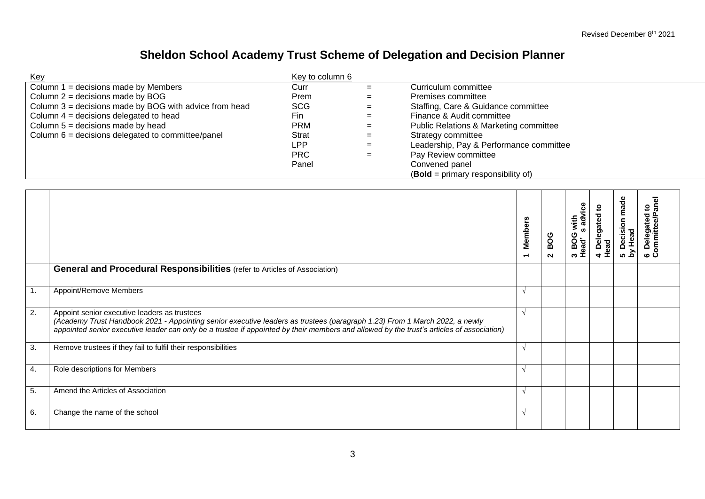# **Sheldon School Academy Trust Scheme of Delegation and Decision Planner**

| Key                                                            | Key to column 6 |     |                                                   |
|----------------------------------------------------------------|-----------------|-----|---------------------------------------------------|
| $\vert$ Column 1 = decisions made by Members                   | Curr            | $=$ | Curriculum committee                              |
| $\vert$ Column 2 = decisions made by BOG                       | Prem            | $=$ | Premises committee                                |
| $\vert$ Column 3 = decisions made by BOG with advice from head | <b>SCG</b>      | $=$ | Staffing, Care & Guidance committee               |
| Column $4 =$ decisions delegated to head                       | Fin.            | $=$ | Finance & Audit committee                         |
| $\vert$ Column 5 = decisions made by head                      | PRM             | $=$ | <b>Public Relations &amp; Marketing committee</b> |
| $\vert$ Column 6 = decisions delegated to committee/panel      | Strat           | $=$ | Strategy committee                                |
|                                                                | LPP             | $=$ | Leadership, Pay & Performance committee           |
|                                                                | <b>PRC</b>      | $=$ | Pay Review committee                              |
|                                                                | Panel           |     | Convened panel                                    |
|                                                                |                 |     | $(Bold = primary$ responsibility of)              |

|    |                                                                                                                                                                                                                                                                                                                         | <b>Members</b><br>$\overline{\phantom{0}}$ | BOG<br>$\sim$ | advice<br>with<br>S<br>3 BOG<br>Head's | ₽<br>4 Delegated<br>Head | made<br><b>Decision</b><br>5 Decisive<br>by Head | $\mathbf{S}$<br>lated<br>Delega<br>pmmitte<br>ن ه |
|----|-------------------------------------------------------------------------------------------------------------------------------------------------------------------------------------------------------------------------------------------------------------------------------------------------------------------------|--------------------------------------------|---------------|----------------------------------------|--------------------------|--------------------------------------------------|---------------------------------------------------|
|    | <b>General and Procedural Responsibilities</b> (refer to Articles of Association)                                                                                                                                                                                                                                       |                                            |               |                                        |                          |                                                  |                                                   |
| 1. | Appoint/Remove Members                                                                                                                                                                                                                                                                                                  | $\sqrt{ }$                                 |               |                                        |                          |                                                  |                                                   |
| 2. | Appoint senior executive leaders as trustees<br>(Academy Trust Handbook 2021 - Appointing senior executive leaders as trustees (paragraph 1.23) From 1 March 2022, a newly<br>appointed senior executive leader can only be a trustee if appointed by their members and allowed by the trust's articles of association) | $\lambda$                                  |               |                                        |                          |                                                  |                                                   |
| 3. | Remove trustees if they fail to fulfil their responsibilities                                                                                                                                                                                                                                                           | $\lambda$                                  |               |                                        |                          |                                                  |                                                   |
| 4. | Role descriptions for Members                                                                                                                                                                                                                                                                                           | $\sqrt{ }$                                 |               |                                        |                          |                                                  |                                                   |
| 5. | Amend the Articles of Association                                                                                                                                                                                                                                                                                       | $\Delta$                                   |               |                                        |                          |                                                  |                                                   |
| 6. | Change the name of the school                                                                                                                                                                                                                                                                                           | $\sim$                                     |               |                                        |                          |                                                  |                                                   |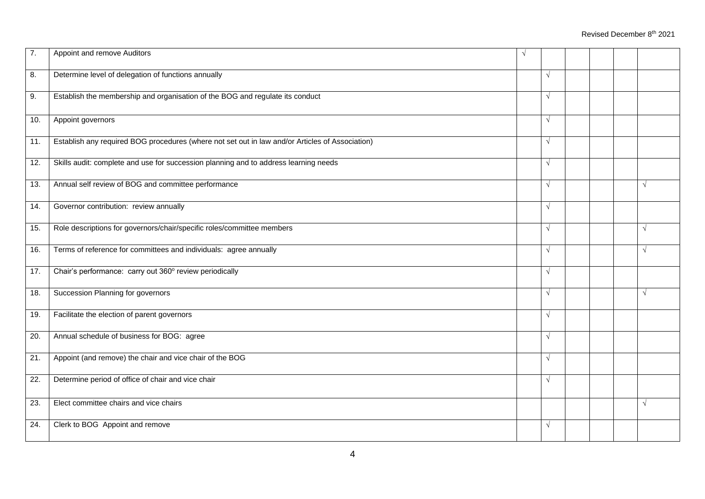| 7.                | Appoint and remove Auditors                                                                     | $\sqrt{ }$ |            |  |            |
|-------------------|-------------------------------------------------------------------------------------------------|------------|------------|--|------------|
| 8.                | Determine level of delegation of functions annually                                             |            | $\sqrt{ }$ |  |            |
| 9.                | Establish the membership and organisation of the BOG and regulate its conduct                   |            | $\sqrt{ }$ |  |            |
| 10.               | Appoint governors                                                                               |            | $\sqrt{ }$ |  |            |
| 11.               | Establish any required BOG procedures (where not set out in law and/or Articles of Association) |            | $\sqrt{ }$ |  |            |
| 12.               | Skills audit: complete and use for succession planning and to address learning needs            |            | $\sqrt{ }$ |  |            |
| $\overline{13}$ . | Annual self review of BOG and committee performance                                             |            | $\sqrt{ }$ |  | $\sqrt{ }$ |
| 14.               | Governor contribution: review annually                                                          |            | $\sqrt{ }$ |  |            |
| 15.               | Role descriptions for governors/chair/specific roles/committee members                          |            | $\sqrt{ }$ |  | $\sqrt{ }$ |
| 16.               | Terms of reference for committees and individuals: agree annually                               |            | $\sqrt{ }$ |  | $\sqrt{ }$ |
| 17.               | Chair's performance: carry out 360° review periodically                                         |            | $\sqrt{ }$ |  |            |
| 18.               | Succession Planning for governors                                                               |            | $\sqrt{ }$ |  | $\sqrt{ }$ |
| 19.               | Facilitate the election of parent governors                                                     |            | $\sqrt{ }$ |  |            |
| 20.               | Annual schedule of business for BOG: agree                                                      |            | $\sqrt{ }$ |  |            |
| 21.               | Appoint (and remove) the chair and vice chair of the BOG                                        |            | $\sqrt{ }$ |  |            |
| 22.               | Determine period of office of chair and vice chair                                              |            | $\sqrt{ }$ |  |            |
| 23.               | Elect committee chairs and vice chairs                                                          |            |            |  | $\sqrt{ }$ |
| 24.               | Clerk to BOG Appoint and remove                                                                 |            | $\sqrt{}$  |  |            |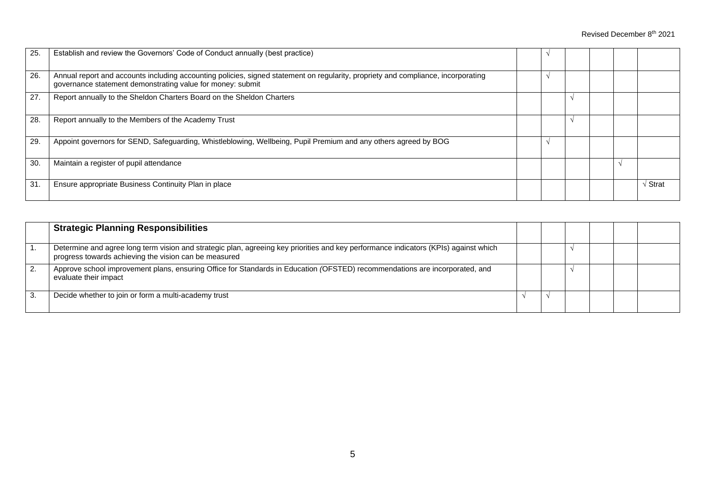| 25. | Establish and review the Governors' Code of Conduct annually (best practice)                                                                                                                    |  |  |   |       |
|-----|-------------------------------------------------------------------------------------------------------------------------------------------------------------------------------------------------|--|--|---|-------|
| 26. | Annual report and accounts including accounting policies, signed statement on regularity, propriety and compliance, incorporating<br>governance statement demonstrating value for money: submit |  |  |   |       |
| 27. | Report annually to the Sheldon Charters Board on the Sheldon Charters                                                                                                                           |  |  |   |       |
| 28. | Report annually to the Members of the Academy Trust                                                                                                                                             |  |  |   |       |
| 29. | Appoint governors for SEND, Safeguarding, Whistleblowing, Wellbeing, Pupil Premium and any others agreed by BOG                                                                                 |  |  |   |       |
| 30  | Maintain a register of pupil attendance                                                                                                                                                         |  |  | ٦ |       |
| 31  | Ensure appropriate Business Continuity Plan in place                                                                                                                                            |  |  |   | Strat |

|    | <b>Strategic Planning Responsibilities</b>                                                                                                                                                    |  |  |  |
|----|-----------------------------------------------------------------------------------------------------------------------------------------------------------------------------------------------|--|--|--|
|    | Determine and agree long term vision and strategic plan, agreeing key priorities and key performance indicators (KPIs) against which<br>progress towards achieving the vision can be measured |  |  |  |
| 2. | Approve school improvement plans, ensuring Office for Standards in Education (OFSTED) recommendations are incorporated, and<br>evaluate their impact                                          |  |  |  |
|    | Decide whether to join or form a multi-academy trust                                                                                                                                          |  |  |  |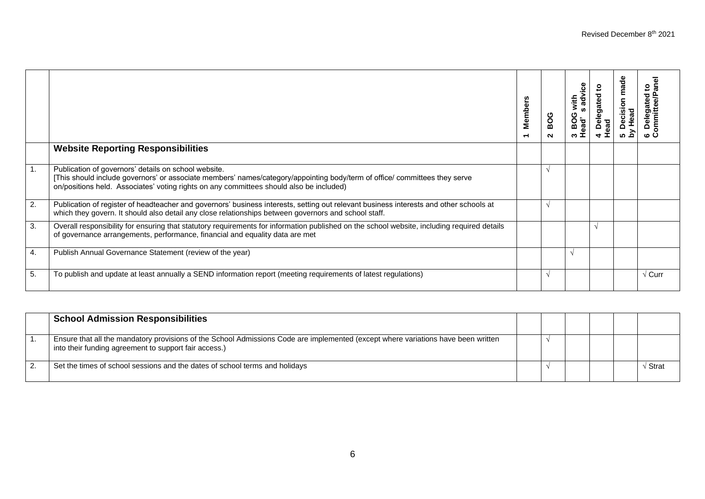|    |                                                                                                                                                                                                                                                                               | $\overline{\mathbf{a}}$<br>Membe<br>$\overline{ }$ | ပိ<br>≃<br>$\sim$ | advice<br>with<br>ഗ<br>BOG<br>ead'<br>ო | <u>ي</u><br>Delegated 1<br>ad | ecision made<br>Head | ᢛ<br>$\mathbf{c}$<br>ated<br>$rac{e}{\sigma}$<br>ں م |
|----|-------------------------------------------------------------------------------------------------------------------------------------------------------------------------------------------------------------------------------------------------------------------------------|----------------------------------------------------|-------------------|-----------------------------------------|-------------------------------|----------------------|------------------------------------------------------|
|    | <b>Website Reporting Responsibilities</b>                                                                                                                                                                                                                                     |                                                    |                   |                                         |                               |                      |                                                      |
| 1. | Publication of governors' details on school website.<br>[This should include governors' or associate members' names/category/appointing body/term of office/ committees they serve<br>on/positions held. Associates' voting rights on any committees should also be included) |                                                    |                   |                                         |                               |                      |                                                      |
| 2. | Publication of register of headteacher and governors' business interests, setting out relevant business interests and other schools at<br>which they govern. It should also detail any close relationships between governors and school staff.                                |                                                    |                   |                                         |                               |                      |                                                      |
| 3. | Overall responsibility for ensuring that statutory requirements for information published on the school website, including required details<br>of governance arrangements, performance, financial and equality data are met                                                   |                                                    |                   |                                         |                               |                      |                                                      |
| 4. | Publish Annual Governance Statement (review of the year)                                                                                                                                                                                                                      |                                                    |                   | N                                       |                               |                      |                                                      |
| 5. | To publish and update at least annually a SEND information report (meeting requirements of latest regulations)                                                                                                                                                                |                                                    |                   |                                         |                               |                      | $\sqrt{C}$ urr                                       |

| <b>School Admission Responsibilities</b>                                                                                                                                                   |  |  |         |
|--------------------------------------------------------------------------------------------------------------------------------------------------------------------------------------------|--|--|---------|
| Ensure that all the mandatory provisions of the School Admissions Code are implemented (except where variations have been written<br>into their funding agreement to support fair access.) |  |  |         |
| Set the times of school sessions and the dates of school terms and holidays                                                                                                                |  |  | / Strat |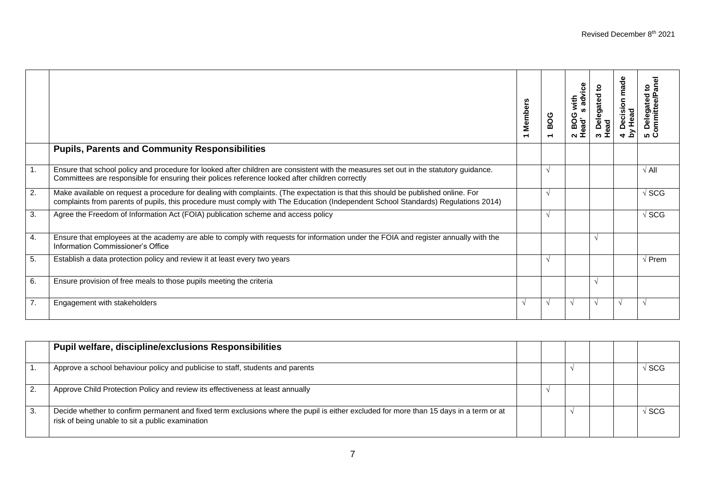|                  |                                                                                                                                                                                                                                                                       | <b>Members</b><br>$\overline{\phantom{0}}$ | BOG<br>᠇ | advice<br>with<br>2 BOG<br>Head's | <u>۽</u><br>3 Delegated t<br>Head | Decision made<br>y Head<br>$\frac{1}{2}$ | ᠗<br>$\overline{\mathbf{c}}$<br>ਠ<br>ate<br>Delega<br>pmmitt<br>၂၈ ပ |
|------------------|-----------------------------------------------------------------------------------------------------------------------------------------------------------------------------------------------------------------------------------------------------------------------|--------------------------------------------|----------|-----------------------------------|-----------------------------------|------------------------------------------|----------------------------------------------------------------------|
|                  | <b>Pupils, Parents and Community Responsibilities</b>                                                                                                                                                                                                                 |                                            |          |                                   |                                   |                                          |                                                                      |
| $\overline{1}$ . | Ensure that school policy and procedure for looked after children are consistent with the measures set out in the statutory guidance.<br>Committees are responsible for ensuring their polices reference looked after children correctly                              |                                            |          |                                   |                                   |                                          | $\sqrt{All}$                                                         |
| 2.               | Make available on request a procedure for dealing with complaints. (The expectation is that this should be published online. For<br>complaints from parents of pupils, this procedure must comply with The Education (Independent School Standards) Regulations 2014) |                                            |          |                                   |                                   |                                          | $\sqrt{SCG}$                                                         |
| 3.               | Agree the Freedom of Information Act (FOIA) publication scheme and access policy                                                                                                                                                                                      |                                            | V        |                                   |                                   |                                          | √ SCG                                                                |
| 4.               | Ensure that employees at the academy are able to comply with requests for information under the FOIA and register annually with the<br>Information Commissioner's Office                                                                                              |                                            |          |                                   |                                   |                                          |                                                                      |
| 5.               | Establish a data protection policy and review it at least every two years                                                                                                                                                                                             |                                            | N        |                                   |                                   |                                          | √ Prem                                                               |
| 6.               | Ensure provision of free meals to those pupils meeting the criteria                                                                                                                                                                                                   |                                            |          |                                   |                                   |                                          |                                                                      |
| $\overline{7}$ . | Engagement with stakeholders                                                                                                                                                                                                                                          | $\sqrt{ }$                                 |          | $\sqrt{ }$                        |                                   | $\gamma$                                 |                                                                      |

| <b>Pupil welfare, discipline/exclusions Responsibilities</b>                                                                                                                               |  |  |                  |
|--------------------------------------------------------------------------------------------------------------------------------------------------------------------------------------------|--|--|------------------|
| Approve a school behaviour policy and publicise to staff, students and parents                                                                                                             |  |  | $\sqrt{\rm SCG}$ |
| Approve Child Protection Policy and review its effectiveness at least annually                                                                                                             |  |  |                  |
| Decide whether to confirm permanent and fixed term exclusions where the pupil is either excluded for more than 15 days in a term or at<br>risk of being unable to sit a public examination |  |  | √ SCG            |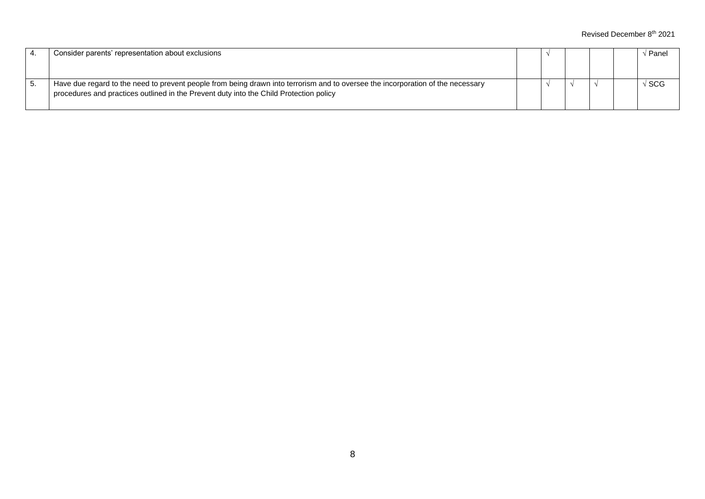|    | Consider parents' representation about exclusions                                                                                                                                                                         |  |  | Panel |
|----|---------------------------------------------------------------------------------------------------------------------------------------------------------------------------------------------------------------------------|--|--|-------|
|    |                                                                                                                                                                                                                           |  |  |       |
| υ. | Have due regard to the need to prevent people from being drawn into terrorism and to oversee the incorporation of the necessary<br>procedures and practices outlined in the Prevent duty into the Child Protection policy |  |  | l SCG |
|    |                                                                                                                                                                                                                           |  |  |       |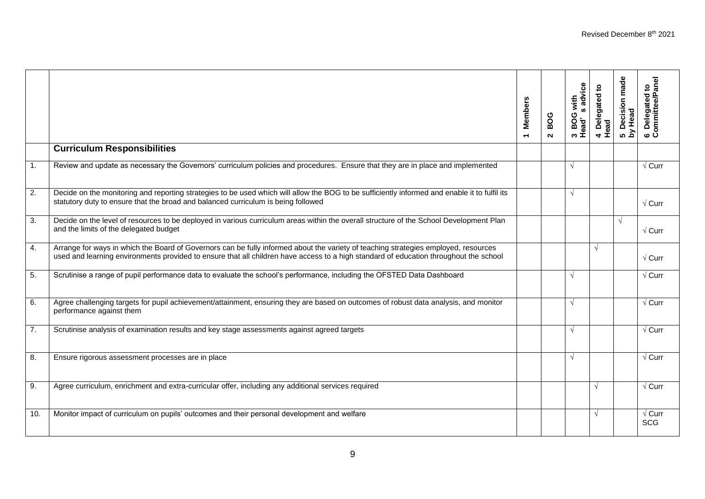|                  |                                                                                                                                                                                                                                                                              | <b>Members</b><br>$\overline{\phantom{0}}$ | BOG<br>$\sim$ | s advice<br>3 BOG with<br>Head's advi | 4 Delegated to<br>Head | 5 Decision made<br>by Head | ᠊ᢆ<br>Ĕ<br>$\mathbf{5}$<br>6 Delegated t<br>Committee/Pa |
|------------------|------------------------------------------------------------------------------------------------------------------------------------------------------------------------------------------------------------------------------------------------------------------------------|--------------------------------------------|---------------|---------------------------------------|------------------------|----------------------------|----------------------------------------------------------|
|                  | <b>Curriculum Responsibilities</b>                                                                                                                                                                                                                                           |                                            |               |                                       |                        |                            |                                                          |
| $\overline{1}$ . | Review and update as necessary the Governors' curriculum policies and procedures. Ensure that they are in place and implemented                                                                                                                                              |                                            |               | $\sqrt{ }$                            |                        |                            | $\sqrt{C}$ urr                                           |
| $\overline{2}$ . | Decide on the monitoring and reporting strategies to be used which will allow the BOG to be sufficiently informed and enable it to fulfil its<br>statutory duty to ensure that the broad and balanced curriculum is being followed                                           |                                            |               | $\sqrt{ }$                            |                        |                            | $\sqrt{C}$ urr                                           |
| $\overline{3}$ . | Decide on the level of resources to be deployed in various curriculum areas within the overall structure of the School Development Plan<br>and the limits of the delegated budget                                                                                            |                                            |               |                                       |                        | $\sqrt{ }$                 | $\sqrt{C}$ urr                                           |
| $\overline{4}$ . | Arrange for ways in which the Board of Governors can be fully informed about the variety of teaching strategies employed, resources<br>used and learning environments provided to ensure that all children have access to a high standard of education throughout the school |                                            |               |                                       | $\sqrt{ }$             |                            | $\sqrt{\text{Curr}}$                                     |
| 5.               | Scrutinise a range of pupil performance data to evaluate the school's performance, including the OFSTED Data Dashboard                                                                                                                                                       |                                            |               | $\sqrt{ }$                            |                        |                            | $\sqrt{\text{Curr}}$                                     |
| 6.               | Agree challenging targets for pupil achievement/attainment, ensuring they are based on outcomes of robust data analysis, and monitor<br>performance against them                                                                                                             |                                            |               | $\sqrt{ }$                            |                        |                            | $\sqrt{C}$ urr                                           |
| $\overline{7}$ . | Scrutinise analysis of examination results and key stage assessments against agreed targets                                                                                                                                                                                  |                                            |               | $\sqrt{ }$                            |                        |                            | $\sqrt{\mathrm{Curr}}$                                   |
| 8.               | Ensure rigorous assessment processes are in place                                                                                                                                                                                                                            |                                            |               | $\sqrt{ }$                            |                        |                            | $\sqrt{C}$ urr                                           |
| 9.               | Agree curriculum, enrichment and extra-curricular offer, including any additional services required                                                                                                                                                                          |                                            |               |                                       | ٦I                     |                            | $\sqrt{C}$ urr                                           |
| 10.              | Monitor impact of curriculum on pupils' outcomes and their personal development and welfare                                                                                                                                                                                  |                                            |               |                                       | $\sqrt{ }$             |                            | $\sqrt{C}$ urr<br><b>SCG</b>                             |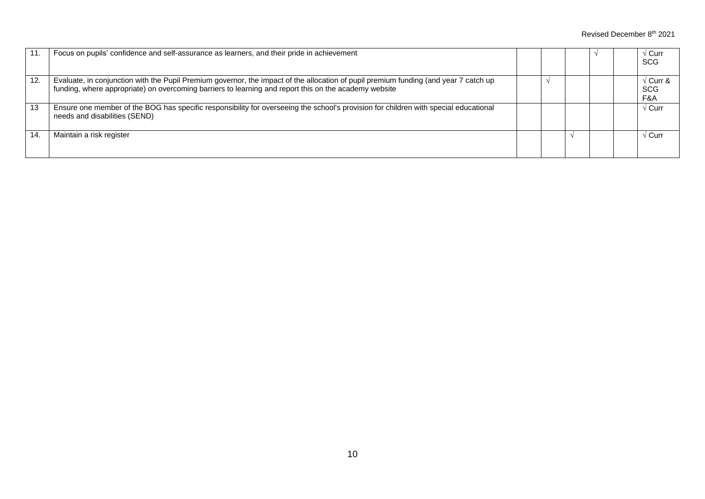| 11. | Focus on pupils' confidence and self-assurance as learners, and their pride in achievement                                                                                                                                                    |  |  | √ Curr<br><b>SCG</b>          |
|-----|-----------------------------------------------------------------------------------------------------------------------------------------------------------------------------------------------------------------------------------------------|--|--|-------------------------------|
| 12. | Evaluate, in conjunction with the Pupil Premium governor, the impact of the allocation of pupil premium funding (and year 7 catch up<br>funding, where appropriate) on overcoming barriers to learning and report this on the academy website |  |  | √ Curr &<br><b>SCG</b><br>F&A |
| 13  | Ensure one member of the BOG has specific responsibility for overseeing the school's provision for children with special educational<br>needs and disabilities (SEND)                                                                         |  |  | √ Curr                        |
| 14  | Maintain a risk register                                                                                                                                                                                                                      |  |  | √ Curr                        |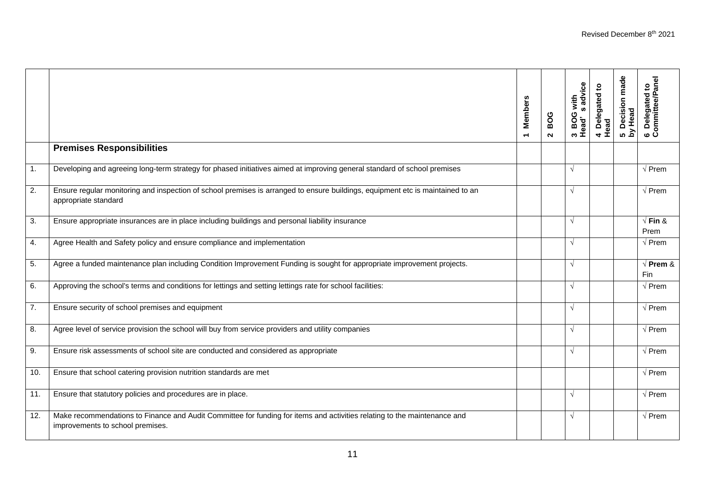|                |                                                                                                                                                              | <b>Members</b><br>$\overline{\phantom{0}}$ | BOG<br>$\sim$ | s advice<br>3 BOG with<br>Head's advi | 4 Delegated to<br>Head | 5 Decision made<br>by Head | 6 Delegated to<br>Committee/Panel |
|----------------|--------------------------------------------------------------------------------------------------------------------------------------------------------------|--------------------------------------------|---------------|---------------------------------------|------------------------|----------------------------|-----------------------------------|
|                | <b>Premises Responsibilities</b>                                                                                                                             |                                            |               |                                       |                        |                            |                                   |
| $\mathbf{1}$ . | Developing and agreeing long-term strategy for phased initiatives aimed at improving general standard of school premises                                     |                                            |               | $\sqrt{ }$                            |                        |                            | $\sqrt{P}$ rem                    |
| 2.             | Ensure regular monitoring and inspection of school premises is arranged to ensure buildings, equipment etc is maintained to an<br>appropriate standard       |                                            |               | $\sqrt{ }$                            |                        |                            | $\sqrt{P}$ rem                    |
| 3.             | Ensure appropriate insurances are in place including buildings and personal liability insurance                                                              |                                            |               | $\sqrt{ }$                            |                        |                            | $\sqrt{F}$ in &<br>Prem           |
| 4.             | Agree Health and Safety policy and ensure compliance and implementation                                                                                      |                                            |               | $\sqrt{ }$                            |                        |                            | $\sqrt{P}$ rem                    |
| 5.             | Agree a funded maintenance plan including Condition Improvement Funding is sought for appropriate improvement projects.                                      |                                            |               | $\sqrt{ }$                            |                        |                            | $\sqrt{}$ Prem &<br>Fin           |
| 6.             | Approving the school's terms and conditions for lettings and setting lettings rate for school facilities:                                                    |                                            |               | $\sqrt{ }$                            |                        |                            | $\sqrt{P}$ Prem                   |
| 7.             | Ensure security of school premises and equipment                                                                                                             |                                            |               | $\sqrt{ }$                            |                        |                            | $\sqrt{P}$ rem                    |
| 8.             | Agree level of service provision the school will buy from service providers and utility companies                                                            |                                            |               | $\sqrt{ }$                            |                        |                            | $\sqrt{P}$ rem                    |
| 9.             | Ensure risk assessments of school site are conducted and considered as appropriate                                                                           |                                            |               | $\sqrt{ }$                            |                        |                            | $\sqrt{P}$ rem                    |
| 10.            | Ensure that school catering provision nutrition standards are met                                                                                            |                                            |               |                                       |                        |                            | $\sqrt{P}$ rem                    |
| 11.            | Ensure that statutory policies and procedures are in place.                                                                                                  |                                            |               | $\sqrt{ }$                            |                        |                            | $\sqrt{P}$ rem                    |
| 12.            | Make recommendations to Finance and Audit Committee for funding for items and activities relating to the maintenance and<br>improvements to school premises. |                                            |               | $\sqrt{ }$                            |                        |                            | $\sqrt{P}$ rem                    |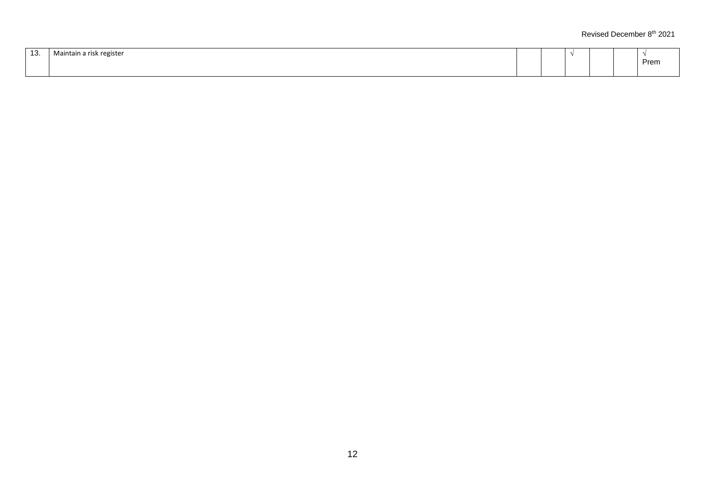| $\sim$<br>. ت | Maintain<br>i a risk register |  |  |      |
|---------------|-------------------------------|--|--|------|
|               |                               |  |  | Prem |
|               |                               |  |  |      |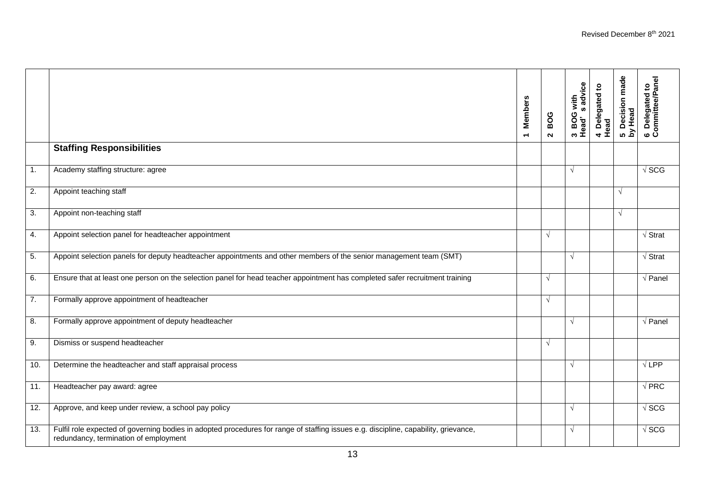|                  |                                                                                                                                                                              | <b>Members</b><br>$\blacksquare$ | BOG<br>$\sim$ | advice<br>BOG with<br><b>S</b><br>3 BOG<br>Head' | 4 Delegated to<br>Head | 5 Decision made<br>by Head | 6 Delegated to<br>Committee/Panel |
|------------------|------------------------------------------------------------------------------------------------------------------------------------------------------------------------------|----------------------------------|---------------|--------------------------------------------------|------------------------|----------------------------|-----------------------------------|
|                  | <b>Staffing Responsibilities</b>                                                                                                                                             |                                  |               |                                                  |                        |                            |                                   |
| 1.               | Academy staffing structure: agree                                                                                                                                            |                                  |               | $\sqrt{ }$                                       |                        |                            | $\sqrt{SCG}$                      |
| 2.               | Appoint teaching staff                                                                                                                                                       |                                  |               |                                                  |                        | $\sqrt{ }$                 |                                   |
| 3.               | Appoint non-teaching staff                                                                                                                                                   |                                  |               |                                                  |                        | $\sqrt{ }$                 |                                   |
| 4.               | Appoint selection panel for headteacher appointment                                                                                                                          |                                  | $\sqrt{ }$    |                                                  |                        |                            | $\sqrt{\mathsf{Strat}}$           |
| 5.               | Appoint selection panels for deputy headteacher appointments and other members of the senior management team (SMT)                                                           |                                  |               | $\sqrt{ }$                                       |                        |                            | $\sqrt{\mathsf{Strat}}$           |
| 6.               | Ensure that at least one person on the selection panel for head teacher appointment has completed safer recruitment training                                                 |                                  | $\sqrt{ }$    |                                                  |                        |                            | $\sqrt{P}$ anel                   |
| $\overline{7}$ . | Formally approve appointment of headteacher                                                                                                                                  |                                  | $\sqrt{ }$    |                                                  |                        |                            |                                   |
| 8.               | Formally approve appointment of deputy headteacher                                                                                                                           |                                  |               | $\sqrt{ }$                                       |                        |                            | $\sqrt{}$ Panel                   |
| 9.               | Dismiss or suspend headteacher                                                                                                                                               |                                  | $\sqrt{ }$    |                                                  |                        |                            |                                   |
| 10.              | Determine the headteacher and staff appraisal process                                                                                                                        |                                  |               | $\sqrt{ }$                                       |                        |                            | $\sqrt{LPP}$                      |
| 11.              | Headteacher pay award: agree                                                                                                                                                 |                                  |               |                                                  |                        |                            | $\sqrt{PRC}$                      |
| 12.              | Approve, and keep under review, a school pay policy                                                                                                                          |                                  |               | $\sqrt{ }$                                       |                        |                            | $\sqrt{SCG}$                      |
| 13.              | Fulfil role expected of governing bodies in adopted procedures for range of staffing issues e.g. discipline, capability, grievance,<br>redundancy, termination of employment |                                  |               | $\sqrt{ }$                                       |                        |                            | $\sqrt{SCG}$                      |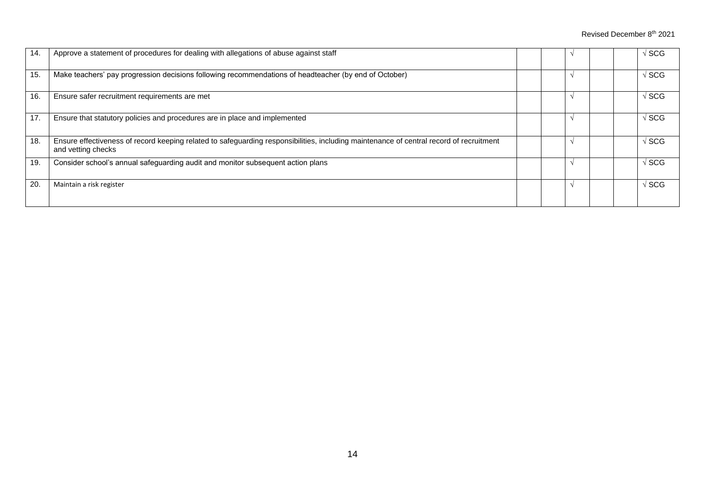| 14. | Approve a statement of procedures for dealing with allegations of abuse against staff                                                                         |  |  | 'SCG                 |
|-----|---------------------------------------------------------------------------------------------------------------------------------------------------------------|--|--|----------------------|
| 15. | Make teachers' pay progression decisions following recommendations of headteacher (by end of October)                                                         |  |  | 'SCG                 |
| 16. | Ensure safer recruitment requirements are met                                                                                                                 |  |  | ' SCG                |
| 17. | Ensure that statutory policies and procedures are in place and implemented                                                                                    |  |  | $\sqrt{\,}$ SCG $\,$ |
| 18. | Ensure effectiveness of record keeping related to safeguarding responsibilities, including maintenance of central record of recruitment<br>and vetting checks |  |  | √ SCG                |
| 19. | Consider school's annual safeguarding audit and monitor subsequent action plans                                                                               |  |  | √ SCG                |
| 20. | Maintain a risk register                                                                                                                                      |  |  | 'SCG                 |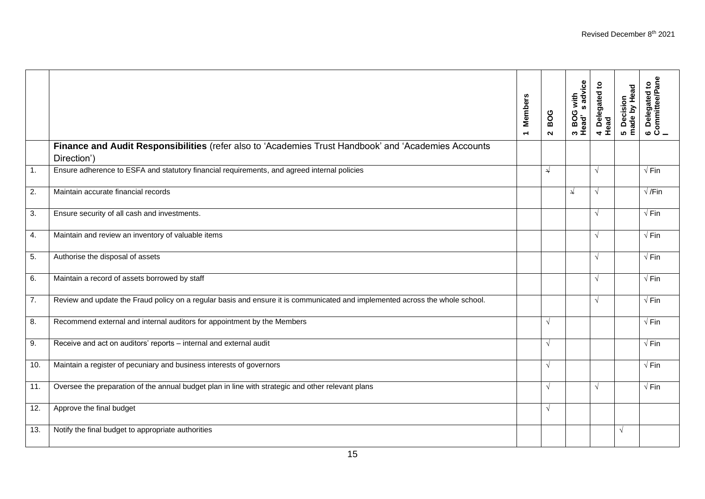|                  |                                                                                                                              | <b>Members</b><br>$\overline{\phantom{0}}$ | BOG<br>$\mathbf{z}$ | s advice<br>3 BOG with<br>Head' s adv | 4 Delegated to<br>Head | 5 Decision<br>made by Head | 6  Delegated to<br>Committee/Pane<br>I |
|------------------|------------------------------------------------------------------------------------------------------------------------------|--------------------------------------------|---------------------|---------------------------------------|------------------------|----------------------------|----------------------------------------|
|                  | Finance and Audit Responsibilities (refer also to 'Academies Trust Handbook' and 'Academies Accounts<br>Direction')          |                                            |                     |                                       |                        |                            |                                        |
| $\overline{1}$ . | Ensure adherence to ESFA and statutory financial requirements, and agreed internal policies                                  |                                            | ↵                   |                                       | $\sqrt{ }$             |                            | $\sqrt{F}$ in                          |
| 2.               | Maintain accurate financial records                                                                                          |                                            |                     | $\downarrow$                          | $\sqrt{ }$             |                            | $\sqrt{}$ /Fin                         |
| 3.               | Ensure security of all cash and investments.                                                                                 |                                            |                     |                                       | $\sqrt{ }$             |                            | $\sqrt{F}$ in                          |
| 4.               | Maintain and review an inventory of valuable items                                                                           |                                            |                     |                                       | $\sqrt{ }$             |                            | $\sqrt{F}$ in                          |
| 5.               | Authorise the disposal of assets                                                                                             |                                            |                     |                                       | $\sqrt{ }$             |                            | $\sqrt{F}$ in                          |
| 6.               | Maintain a record of assets borrowed by staff                                                                                |                                            |                     |                                       | $\sqrt{ }$             |                            | $\sqrt{F}$ in                          |
| 7.               | Review and update the Fraud policy on a regular basis and ensure it is communicated and implemented across the whole school. |                                            |                     |                                       | $\sqrt{ }$             |                            | $\sqrt{Fin}$                           |
| 8.               | Recommend external and internal auditors for appointment by the Members                                                      |                                            | $\sqrt{ }$          |                                       |                        |                            | $\sqrt{F}$ in                          |
| 9.               | Receive and act on auditors' reports - internal and external audit                                                           |                                            | $\sqrt{ }$          |                                       |                        |                            | $\sqrt{F}$ in                          |
| 10.              | Maintain a register of pecuniary and business interests of governors                                                         |                                            | $\sqrt{ }$          |                                       |                        |                            | $\sqrt{Fin}$                           |
| 11.              | Oversee the preparation of the annual budget plan in line with strategic and other relevant plans                            |                                            | $\sqrt{ }$          |                                       | $\sqrt{ }$             |                            | $\sqrt{F}$ in                          |
| 12.              | Approve the final budget                                                                                                     |                                            | $\sqrt{ }$          |                                       |                        |                            |                                        |
| 13.              | Notify the final budget to appropriate authorities                                                                           |                                            |                     |                                       |                        | $\sqrt{ }$                 |                                        |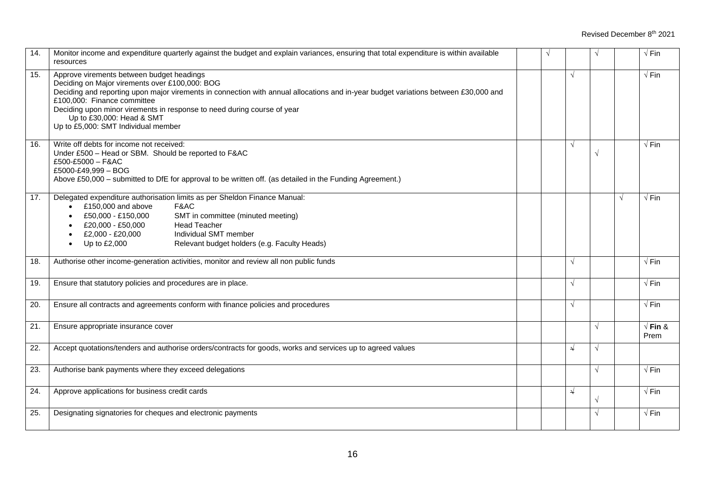| 14. | Monitor income and expenditure quarterly against the budget and explain variances, ensuring that total expenditure is within available<br>resources                                                                                                                                                                                                                                                              | $\sqrt{ }$ |              | $\sqrt{ }$ |   | $\sqrt{Fin}$            |
|-----|------------------------------------------------------------------------------------------------------------------------------------------------------------------------------------------------------------------------------------------------------------------------------------------------------------------------------------------------------------------------------------------------------------------|------------|--------------|------------|---|-------------------------|
| 15. | Approve virements between budget headings<br>Deciding on Major virements over £100,000: BOG<br>Deciding and reporting upon major virements in connection with annual allocations and in-year budget variations between £30,000 and<br>£100,000: Finance committee<br>Deciding upon minor virements in response to need during course of year<br>Up to £30,000: Head & SMT<br>Up to £5,000: SMT Individual member |            | $\sqrt{ }$   |            |   | $\sqrt{Fin}$            |
| 16. | Write off debts for income not received:<br>Under £500 - Head or SBM. Should be reported to F&AC<br>£500-£5000 - F&AC<br>£5000-£49,999 - BOG<br>Above £50,000 - submitted to DfE for approval to be written off. (as detailed in the Funding Agreement.)                                                                                                                                                         |            | $\sqrt{ }$   | $\sqrt{}$  |   | $\sqrt{Fin}$            |
| 17. | Delegated expenditure authorisation limits as per Sheldon Finance Manual:<br>£150,000 and above<br>F&AC<br>£50,000 - £150,000<br>SMT in committee (minuted meeting)<br><b>Head Teacher</b><br>£20,000 - £50,000<br>Individual SMT member<br>£2,000 - £20,000<br>Up to £2,000<br>Relevant budget holders (e.g. Faculty Heads)                                                                                     |            |              |            | √ | $\sqrt{Fin}$            |
| 18. | Authorise other income-generation activities, monitor and review all non public funds                                                                                                                                                                                                                                                                                                                            |            | $\sqrt{ }$   |            |   | $\sqrt{Fin}$            |
| 19. | Ensure that statutory policies and procedures are in place.                                                                                                                                                                                                                                                                                                                                                      |            | $\sqrt{ }$   |            |   | $\sqrt{Fin}$            |
| 20. | Ensure all contracts and agreements conform with finance policies and procedures                                                                                                                                                                                                                                                                                                                                 |            | $\sqrt{ }$   |            |   | $\sqrt{Fin}$            |
| 21. | Ensure appropriate insurance cover                                                                                                                                                                                                                                                                                                                                                                               |            |              | $\sqrt{}$  |   | $\sqrt{F}$ in &<br>Prem |
| 22. | Accept quotations/tenders and authorise orders/contracts for goods, works and services up to agreed values                                                                                                                                                                                                                                                                                                       |            | $\sqrt{ }$   | $\sqrt{ }$ |   |                         |
| 23. | Authorise bank payments where they exceed delegations                                                                                                                                                                                                                                                                                                                                                            |            |              | $\sqrt{ }$ |   | $\sqrt{Fin}$            |
| 24. | Approve applications for business credit cards                                                                                                                                                                                                                                                                                                                                                                   |            | $\downarrow$ | $\sqrt{}$  |   | $\sqrt{Fin}$            |
| 25. | Designating signatories for cheques and electronic payments                                                                                                                                                                                                                                                                                                                                                      |            |              | $\sqrt{ }$ |   | $\sqrt{Fin}$            |